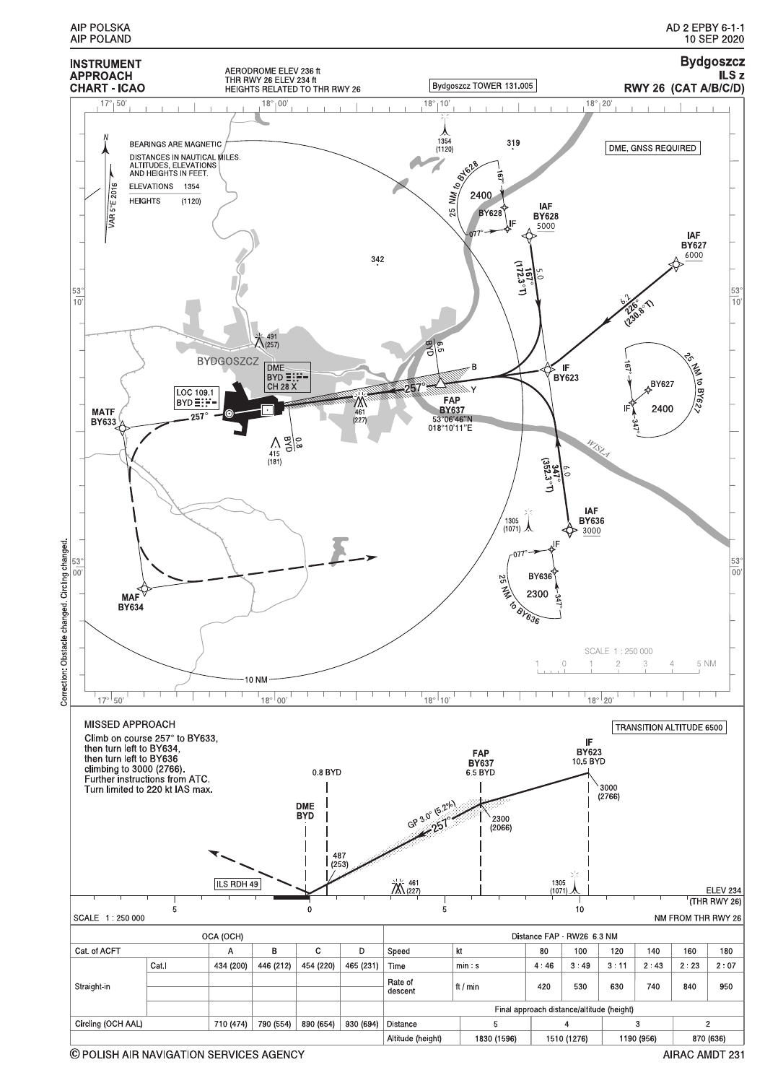